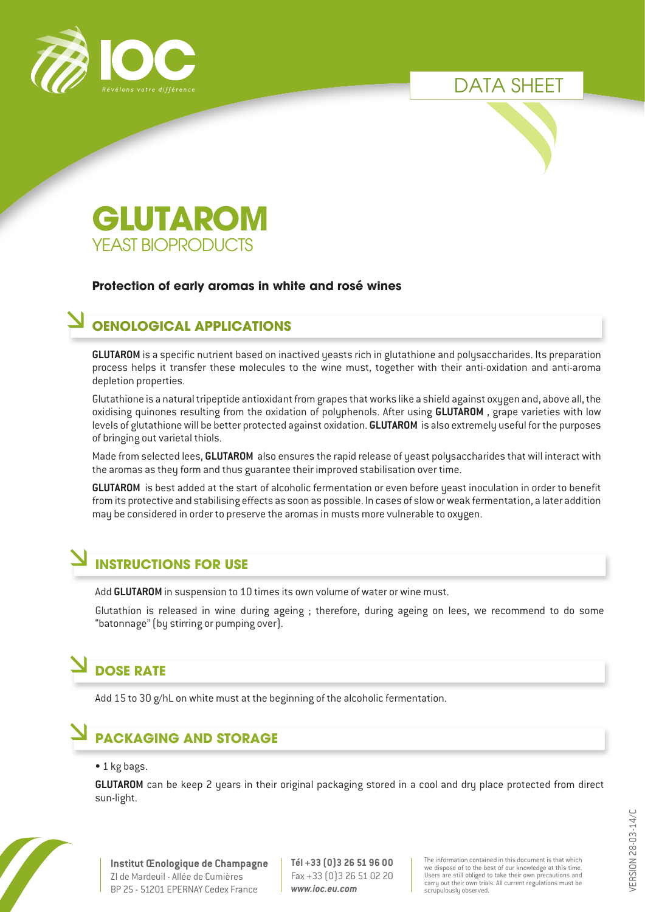





#### **Protection of early aromas in white and rosé wines**

#### **OENOLOGICAL APPLICATIONS**

**GLUTAROM** is a specific nutrient based on inactived yeasts rich in glutathione and polysaccharides. Its preparation process helps it transfer these molecules to the wine must, together with their anti-oxidation and anti-aroma depletion properties.

Glutathione is a natural tripeptide antioxidant from grapes that works like a shield against oxygen and, above all, the oxidising quinones resulting from the oxidation of polyphenols. After using **GLUTAROM** , grape varieties with low levels of glutathione will be better protected against oxidation. **GLUTAROM** is also extremely useful for the purposes of bringing out varietal thiols.

Made from selected lees, **GLUTAROM** also ensures the rapid release of yeast polysaccharides that will interact with the aromas as they form and thus guarantee their improved stabilisation over time.

**GLUTAROM** is best added at the start of alcoholic fermentation or even before yeast inoculation in order to benefit from its protective and stabilising effects as soon as possible. In cases of slow or weak fermentation, a later addition may be considered in order to preserve the aromas in musts more vulnerable to oxygen.

# **INSTRUCTIONS FOR USE**

Add **GLUTAROM** in suspension to 10 times its own volume of water or wine must.

Glutathion is released in wine during ageing ; therefore, during ageing on lees, we recommend to do some "batonnage" (by stirring or pumping over).

# **DOSE RATE**

Add 15 to 30 g/hL on white must at the beginning of the alcoholic fermentation.

# **PACKAGING AND STORAGE**

#### • 1 kg bags.

**GLUTAROM** can be keep 2 years in their original packaging stored in a cool and dry place protected from direct sun-light.



**Tél +33 (0)3 26 51 96 00** Fax +33 (0)3 26 51 02 20 *www.ioc.eu.com*